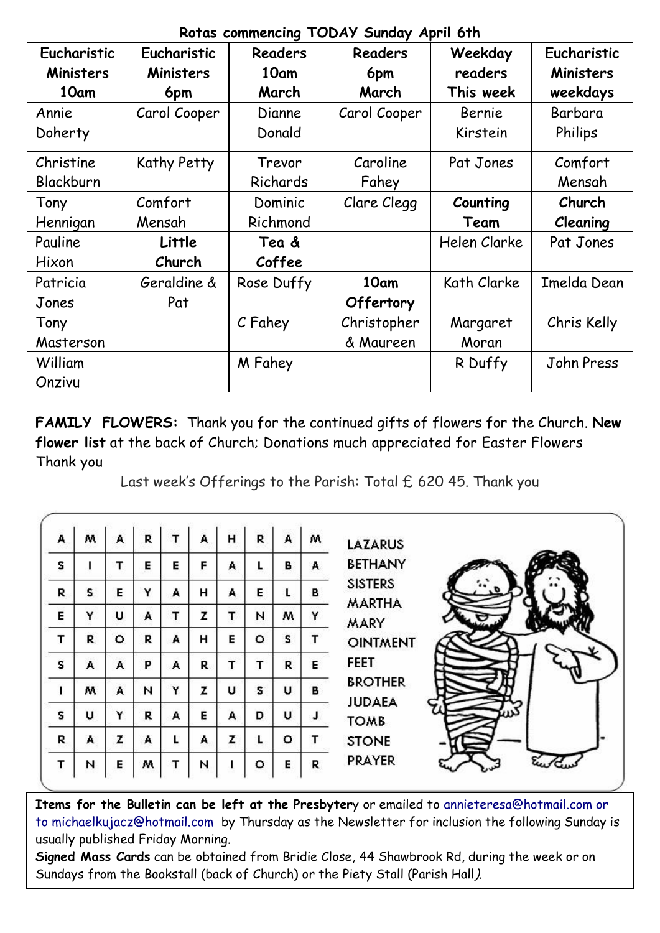| Eucharistic<br><b>Ministers</b> | Eucharistic<br><b>Ministers</b> | Readers<br>10am | Readers<br>6pm | Weekday<br>readers | Eucharistic<br>Ministers |
|---------------------------------|---------------------------------|-----------------|----------------|--------------------|--------------------------|
| 10am                            | 6pm                             | March           | March          | This week          | weekdays                 |
| Annie                           | Carol Cooper                    | Dianne          | Carol Cooper   | Bernie             | Barbara                  |
| Doherty                         |                                 | Donald          |                | Kirstein           | Philips                  |
|                                 |                                 |                 |                |                    |                          |
| Christine                       | Kathy Petty                     | Trevor          | Caroline       | Pat Jones          | Comfort                  |
| Blackburn                       |                                 | Richards        | Fahey          |                    | Mensah                   |
| Tony                            | Comfort                         | Dominic         | Clare Clegg    | Counting           | Church                   |
| Hennigan                        | Mensah                          | Richmond        |                | Team               | Cleaning                 |
| Pauline                         | Little                          | Tea &           |                | Helen Clarke       | Pat Jones                |
| Hixon                           | Church                          | Coffee          |                |                    |                          |
| Patricia                        | Geraldine &                     | Rose Duffy      | 10am           | Kath Clarke        | Imelda Dean              |
| Jones                           | Pat                             |                 | Offertory      |                    |                          |
| Tony                            |                                 | C Fahey         | Christopher    | Margaret           | Chris Kelly              |
| Masterson                       |                                 |                 | & Maureen      | Moran              |                          |
| William                         |                                 | M Fahey         |                | R Duffy            | John Press               |
| Onzivu                          |                                 |                 |                |                    |                          |

**Rotas commencing TODAY Sunday April 6th**

**FAMILY FLOWERS:** Thank you for the continued gifts of flowers for the Church. **New flower list** at the back of Church; Donations much appreciated for Easter Flowers Thank you

Last week's Offerings to the Parish: Total £ 620 45. Thank you

| А | w | A | R | т | А  | н | R | A | w | <b>LAZARUS</b>                  |
|---|---|---|---|---|----|---|---|---|---|---------------------------------|
| s |   | т | Е | Е | F. | А |   | в | A | <b>BETHANY</b>                  |
| R | s | Е | Y | A | н  | A | Е | L | в | <b>SISTERS</b><br><b>MARTHA</b> |
| Е | Y | U | A | т | z  | т | N | w | Y | <b>MARY</b>                     |
| т | R | o | R | A | н  | E | o | s |   | <b>OINTMENT</b>                 |
| s | А | A | P | A | R. | т | т | R | Е | <b>FEET</b>                     |
| 1 | м | A | N | Υ | z  | U | s | U | в | <b>BROTHER</b><br><b>JUDAEA</b> |
| s | U | Y | R | A | Е  | A | D | U |   | <b>TOMB</b>                     |
| R | A | z | A |   | A  | z |   | ٥ | т | <b>STONE</b>                    |
| т | И | Е | w | т | и  |   | ٥ | Е | R | <b>PRAYER</b>                   |

**Items for the Bulletin can be left at the Presbyter**y or emailed to [annieteresa@hotmail.com or](mailto:annieteresa@hotmail.com%20or%20to%20michaelkujacz@hotmail.com%20%20b)  [to michaelkujacz@hotmail.com by](mailto:annieteresa@hotmail.com%20or%20to%20michaelkujacz@hotmail.com%20%20b) Thursday as the Newsletter for inclusion the following Sunday is usually published Friday Morning.

**Signed Mass Cards** can be obtained from Bridie Close, 44 Shawbrook Rd, during the week or on Sundays from the Bookstall (back of Church) or the Piety Stall (Parish Hall).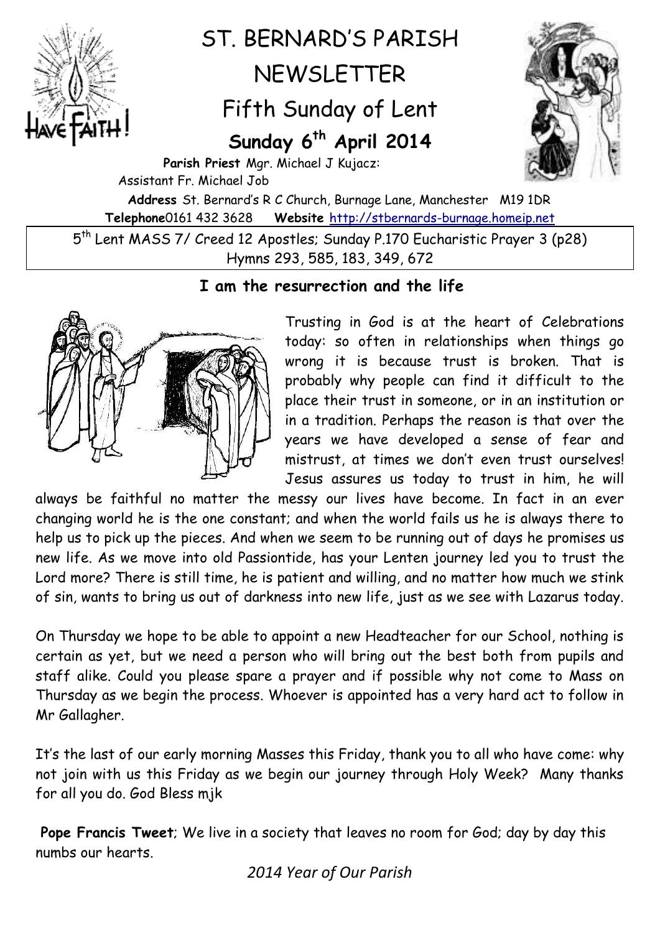

## ST. BERNARD'S PARISH NEWSLETTER Fifth Sunday of Lent

## **Sunday 6 th April 2014**



**Parish Priest** Mgr. Michael J Kujacz: Assistant Fr. Michael Job **Address** St. Bernard's R C Church, Burnage Lane, Manchester M19 1DR **Telephone**0161 432 3628 **Website** [http://stbernards-burnage.homeip.net](http://stbernards-burnage.homeip.net/)

5 th Lent MASS 7/ Creed 12 Apostles; Sunday P.170 Eucharistic Prayer 3 (p28) Hymns 293, 585, 183, 349, 672

## **I am the resurrection and the life**



Trusting in God is at the heart of Celebrations today: so often in relationships when things go wrong it is because trust is broken. That is probably why people can find it difficult to the place their trust in someone, or in an institution or in a tradition. Perhaps the reason is that over the years we have developed a sense of fear and mistrust, at times we don't even trust ourselves! Jesus assures us today to trust in him, he will

always be faithful no matter the messy our lives have become. In fact in an ever changing world he is the one constant; and when the world fails us he is always there to help us to pick up the pieces. And when we seem to be running out of days he promises us new life. As we move into old Passiontide, has your Lenten journey led you to trust the Lord more? There is still time, he is patient and willing, and no matter how much we stink of sin, wants to bring us out of darkness into new life, just as we see with Lazarus today.

On Thursday we hope to be able to appoint a new Headteacher for our School, nothing is certain as yet, but we need a person who will bring out the best both from pupils and staff alike. Could you please spare a prayer and if possible why not come to Mass on Thursday as we begin the process. Whoever is appointed has a very hard act to follow in Mr Gallagher.

It's the last of our early morning Masses this Friday, thank you to all who have come: why not join with us this Friday as we begin our journey through Holy Week? Many thanks for all you do. God Bless mjk

**Pope Francis Tweet**; We live in a society that leaves no room for God; day by day this numbs our hearts.

*2014 Year of Our Parish*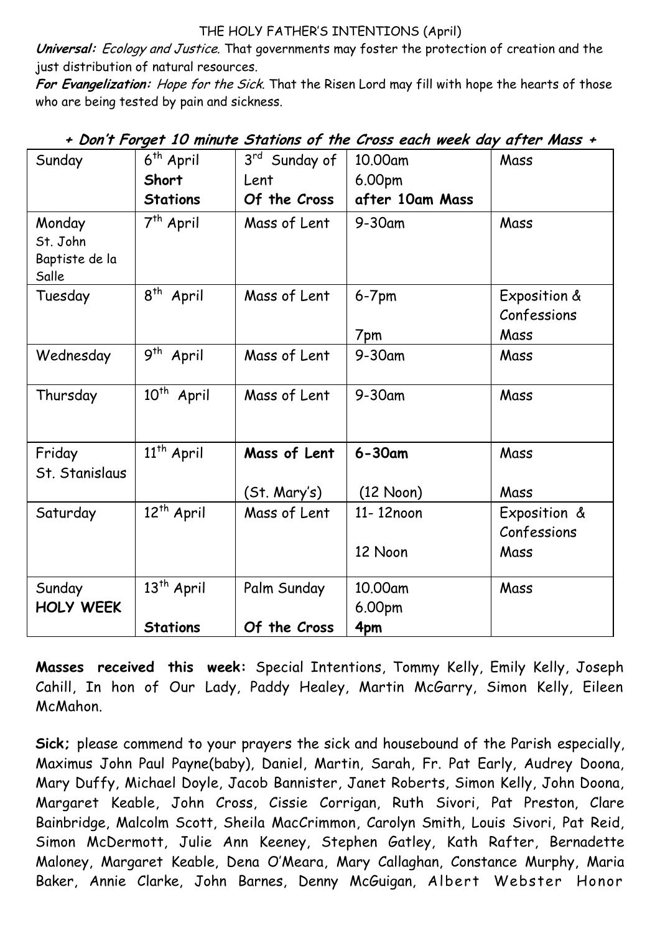## THE HOLY FATHER'S INTENTIONS (April)

**Universal:** Ecology and Justice. That governments may foster the protection of creation and the just distribution of natural resources.

**For Evangelization:** Hope for the Sick. That the Risen Lord may fill with hope the hearts of those who are being tested by pain and sickness.

| Sunday                   | 6 <sup>th</sup> April             | 3rd Sunday of | 10.00am         | Mass         |
|--------------------------|-----------------------------------|---------------|-----------------|--------------|
|                          | Short                             | Lent          | 6.00pm          |              |
|                          | <b>Stations</b>                   | Of the Cross  | after 10am Mass |              |
| Monday                   | 7 <sup>th</sup> April             | Mass of Lent  | 9-30am          | Mass         |
| St. John                 |                                   |               |                 |              |
| Baptiste de la<br>Salle  |                                   |               |                 |              |
| Tuesday                  | $8^{th}$ April                    | Mass of Lent  | $6-7$ pm        | Exposition & |
|                          |                                   |               |                 | Confessions  |
|                          |                                   |               | 7pm             | Mass         |
| Wednesday                | $\overline{9^{th}}$ April         | Mass of Lent  | $9-30$ am       | Mass         |
| Thursday                 | $10^{th}$ April                   | Mass of Lent  | $9-30$ am       | Mass         |
| Friday<br>St. Stanislaus | 11 <sup>th</sup> April            | Mass of Lent  | $6 - 30$ am     | Mass         |
|                          |                                   | (St. Mary's)  | (12 Noon)       | Mass         |
| Saturday                 | $\overline{1}2^{\text{th}}$ April | Mass of Lent  | 11-12noon       | Exposition & |
|                          |                                   |               |                 | Confessions  |
|                          |                                   |               | 12 Noon         | Mass         |
| Sunday                   | $\overline{1}3^{\text{th}}$ April | Palm Sunday   | 10.00am         | Mass         |
| <b>HOLY WEEK</b>         |                                   |               | 6.00pm          |              |
|                          | <b>Stations</b>                   | Of the Cross  | 4pm             |              |

**+ Don't Forget 10 minute Stations of the Cross each week day after Mass +**

**Masses received this week:** Special Intentions, Tommy Kelly, Emily Kelly, Joseph Cahill, In hon of Our Lady, Paddy Healey, Martin McGarry, Simon Kelly, Eileen McMahon.

**Sick;** please commend to your prayers the sick and housebound of the Parish especially, Maximus John Paul Payne(baby), Daniel, Martin, Sarah, Fr. Pat Early, Audrey Doona, Mary Duffy, Michael Doyle, Jacob Bannister, Janet Roberts, Simon Kelly, John Doona, Margaret Keable, John Cross, Cissie Corrigan, Ruth Sivori, Pat Preston, Clare Bainbridge, Malcolm Scott, Sheila MacCrimmon, Carolyn Smith, Louis Sivori, Pat Reid, Simon McDermott, Julie Ann Keeney, Stephen Gatley, Kath Rafter, Bernadette Maloney, Margaret Keable, Dena O'Meara, Mary Callaghan, Constance Murphy, Maria Baker, Annie Clarke, John Barnes, Denny McGuigan, Albert Webster Honor